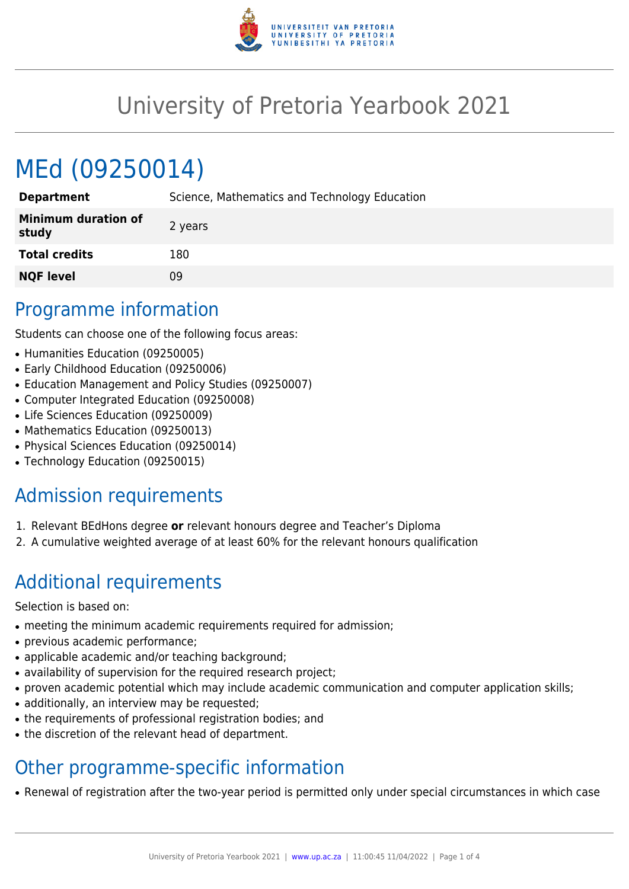

# University of Pretoria Yearbook 2021

# MEd (09250014)

| Science, Mathematics and Technology Education |
|-----------------------------------------------|
| 2 years                                       |
| 180                                           |
| 09                                            |
|                                               |

## Programme information

Students can choose one of the following focus areas:

- Humanities Education (09250005)
- Early Childhood Education (09250006)
- Education Management and Policy Studies (09250007)
- Computer Integrated Education (09250008)
- Life Sciences Education (09250009)
- Mathematics Education (09250013)
- Physical Sciences Education (09250014)
- Technology Education (09250015)

# Admission requirements

- 1. Relevant BEdHons degree **or** relevant honours degree and Teacher's Diploma
- 2. A cumulative weighted average of at least 60% for the relevant honours qualification

# Additional requirements

Selection is based on:

- meeting the minimum academic requirements required for admission;
- previous academic performance;
- applicable academic and/or teaching background;
- availability of supervision for the required research project;
- proven academic potential which may include academic communication and computer application skills;
- additionally, an interview may be requested;
- the requirements of professional registration bodies; and
- the discretion of the relevant head of department.

# Other programme-specific information

• Renewal of registration after the two-year period is permitted only under special circumstances in which case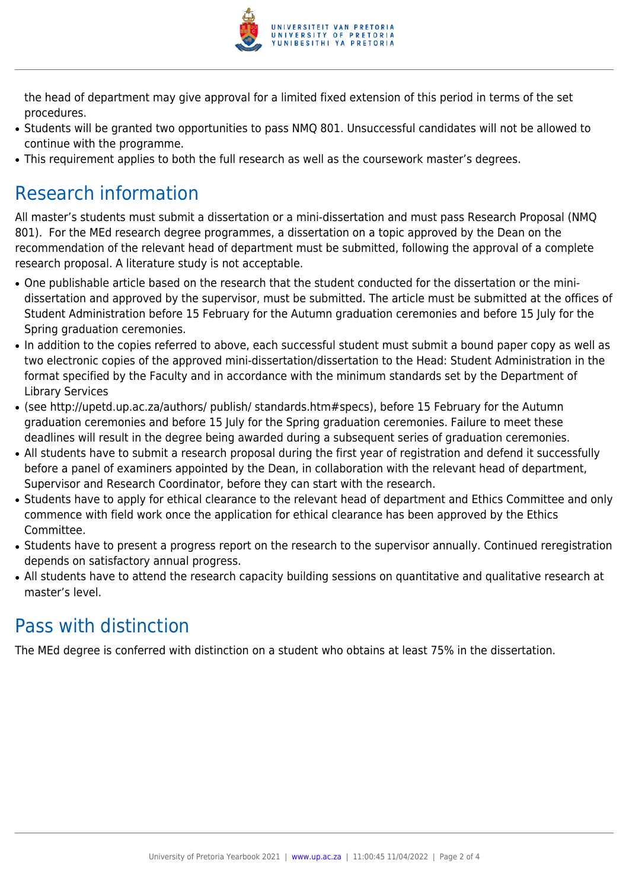

the head of department may give approval for a limited fixed extension of this period in terms of the set procedures.

- Students will be granted two opportunities to pass NMQ 801. Unsuccessful candidates will not be allowed to continue with the programme.
- This requirement applies to both the full research as well as the coursework master's degrees.

# Research information

All master's students must submit a dissertation or a mini-dissertation and must pass Research Proposal (NMQ 801). For the MEd research degree programmes, a dissertation on a topic approved by the Dean on the recommendation of the relevant head of department must be submitted, following the approval of a complete research proposal. A literature study is not acceptable.

- One publishable article based on the research that the student conducted for the dissertation or the minidissertation and approved by the supervisor, must be submitted. The article must be submitted at the offices of Student Administration before 15 February for the Autumn graduation ceremonies and before 15 July for the Spring graduation ceremonies.
- In addition to the copies referred to above, each successful student must submit a bound paper copy as well as two electronic copies of the approved mini-dissertation/dissertation to the Head: Student Administration in the format specified by the Faculty and in accordance with the minimum standards set by the Department of Library Services
- (see http://upetd.up.ac.za/authors/ publish/ standards.htm#specs), before 15 February for the Autumn graduation ceremonies and before 15 July for the Spring graduation ceremonies. Failure to meet these deadlines will result in the degree being awarded during a subsequent series of graduation ceremonies.
- All students have to submit a research proposal during the first year of registration and defend it successfully before a panel of examiners appointed by the Dean, in collaboration with the relevant head of department, Supervisor and Research Coordinator, before they can start with the research.
- Students have to apply for ethical clearance to the relevant head of department and Ethics Committee and only commence with field work once the application for ethical clearance has been approved by the Ethics Committee.
- Students have to present a progress report on the research to the supervisor annually. Continued reregistration depends on satisfactory annual progress.
- All students have to attend the research capacity building sessions on quantitative and qualitative research at master's level.

# Pass with distinction

The MEd degree is conferred with distinction on a student who obtains at least 75% in the dissertation.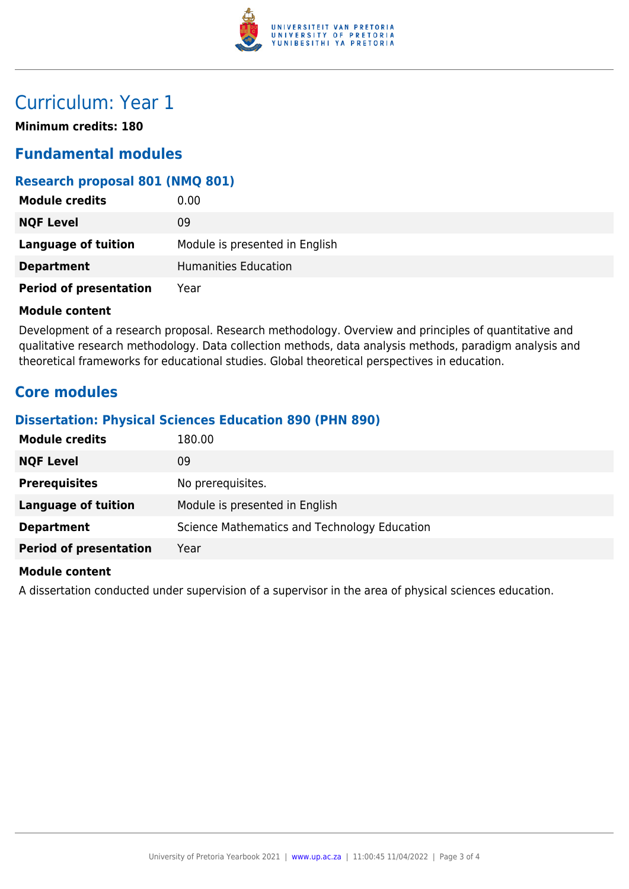

# Curriculum: Year 1

**Minimum credits: 180**

### **Fundamental modules**

### **Research proposal 801 (NMQ 801)**

| <b>Module credits</b>         | 0.00                           |
|-------------------------------|--------------------------------|
| <b>NQF Level</b>              | 09                             |
| Language of tuition           | Module is presented in English |
| <b>Department</b>             | Humanities Education           |
| <b>Period of presentation</b> | Year                           |

#### **Module content**

Development of a research proposal. Research methodology. Overview and principles of quantitative and qualitative research methodology. Data collection methods, data analysis methods, paradigm analysis and theoretical frameworks for educational studies. Global theoretical perspectives in education.

### **Core modules**

### **Dissertation: Physical Sciences Education 890 (PHN 890)**

| 180.00                                       |
|----------------------------------------------|
| 09                                           |
| No prerequisites.                            |
| Module is presented in English               |
| Science Mathematics and Technology Education |
| Year                                         |
|                                              |

#### **Module content**

A dissertation conducted under supervision of a supervisor in the area of physical sciences education.